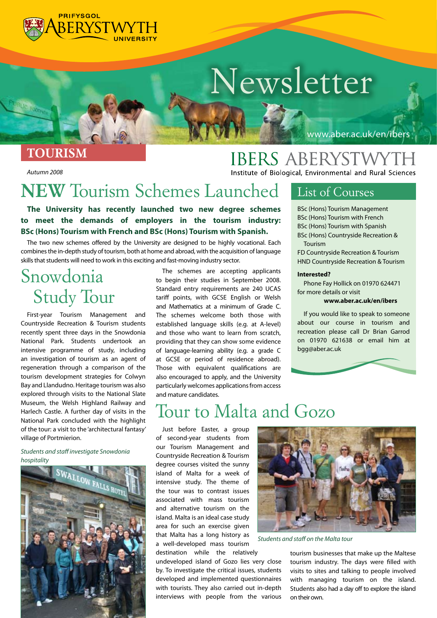

# *Newsletter*

*TOURISM*

*Autumn 2008* 

#### www.aber.ac.uk/en/ibers

**IBERS ABERYSTWYTH** Institute of Biological, Environmental and Rural Sciences

# *NEW Tourism Schemes Launched*

**The University has recently launched two new degree schemes to meet the demands of employers in the tourism industry: BSc (Hons) Tourism with French and BSc (Hons) Tourism with Spanish.**

The two new schemes offered by the University are designed to be highly vocational. Each combines the in-depth study of tourism, both at home and abroad, with the acquisition of language skills that students will need to work in this exciting and fast-moving industry sector.

### *Snowdonia Study Tour*

First-year Tourism Management and Countryside Recreation & Tourism students recently spent three days in the Snowdonia National Park. Students undertook an intensive programme of study, including an investigation of tourism as an agent of regeneration through a comparison of the tourism development strategies for Colwyn Bay and Llandudno. Heritage tourism was also explored through visits to the National Slate Museum, the Welsh Highland Railway and Harlech Castle. A further day of visits in the National Park concluded with the highlight of the tour: a visit to the 'architectural fantasy' village of Portmierion.

#### *Students and staff investigate Snowdonia hospitality*



The schemes are accepting applicants to begin their studies in September 2008. Standard entry requirements are 240 UCAS tariff points, with GCSE English or Welsh and Mathematics at a minimum of Grade C. The schemes welcome both those with established language skills (e.g. at A-level) and those who want to learn from scratch, providing that they can show some evidence of language-learning ability (e.g. a grade C at GCSE or period of residence abroad). Those with equivalent qualifications are also encouraged to apply, and the University particularly welcomes applications from access and mature candidates.

#### *List of Courses*

BSc (Hons) Tourism Management BSc (Hons) Tourism with French BSc (Hons) Tourism with Spanish

BSc (Hons) Countryside Recreation & Tourism

FD Countryside Recreation & Tourism HND Countryside Recreation & Tourism

#### **Interested?**

Phone Fay Hollick on 01970 624471 for more details or visit

#### **www.aber.ac.uk/en/ibers**

If you would like to speak to someone about our course in tourism and recreation please call Dr Brian Garrod on 01970 621638 or email him at bgg@aber.ac.uk

### *Tour to Malta and Gozo*

Just before Easter, a group of second-year students from our Tourism Management and Countryside Recreation & Tourism degree courses visited the sunny island of Malta for a week of intensive study. The theme of the tour was to contrast issues associated with mass tourism and alternative tourism on the island. Malta is an ideal case study area for such an exercise given that Malta has a long history as a well-developed mass tourism

destination while the relatively

undeveloped island of Gozo lies very close by. To investigate the critical issues, students developed and implemented questionnaires with tourists. They also carried out in-depth interviews with people from the various



*Students and staff on the Malta tour*

tourism businesses that make up the Maltese tourism industry. The days were filled with visits to sites and talking to people involved with managing tourism on the island. Students also had a day off to explore the island on their own.